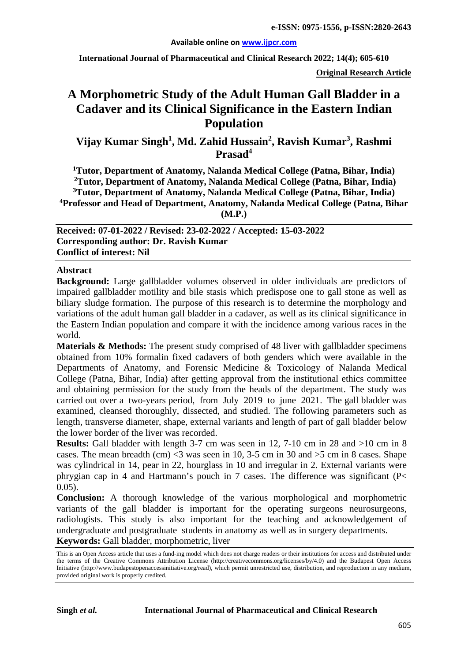#### **Available online on [www.ijpcr.com](http://www.ijpcr.com/)**

**International Journal of Pharmaceutical and Clinical Research 2022; 14(4); 605-610**

**Original Research Article**

# **A Morphometric Study of the Adult Human Gall Bladder in a Cadaver and its Clinical Significance in the Eastern Indian Population**

**Vijay Kumar Singh<sup>1</sup> , Md. Zahid Hussain2 , Ravish Kumar<sup>3</sup> , Rashmi Prasad<sup>4</sup>**

**1Tutor, Department of Anatomy, Nalanda Medical College (Patna, Bihar, India) 2Tutor, Department of Anatomy, Nalanda Medical College (Patna, Bihar, India) 3Tutor, Department of Anatomy, Nalanda Medical College (Patna, Bihar, India) 4 Professor and Head of Department, Anatomy, Nalanda Medical College (Patna, Bihar (M.P.)**

**Received: 07-01-2022 / Revised: 23-02-2022 / Accepted: 15-03-2022 Corresponding author: Dr. Ravish Kumar Conflict of interest: Nil**

#### **Abstract**

**Background:** Large gallbladder volumes observed in older individuals are predictors of impaired gallbladder motility and bile stasis which predispose one to gall stone as well as biliary sludge formation. The purpose of this research is to determine the morphology and variations of the adult human gall bladder in a cadaver, as well as its clinical significance in the Eastern Indian population and compare it with the incidence among various races in the world.

**Materials & Methods:** The present study comprised of 48 liver with gallbladder specimens obtained from 10% formalin fixed cadavers of both genders which were available in the Departments of Anatomy, and Forensic Medicine & Toxicology of Nalanda Medical College (Patna, Bihar, India) after getting approval from the institutional ethics committee and obtaining permission for the study from the heads of the department. The study was carried out over a two-years period, from July 2019 to june 2021. The gall bladder was examined, cleansed thoroughly, dissected, and studied. The following parameters such as length, transverse diameter, shape, external variants and length of part of gall bladder below the lower border of the liver was recorded.

**Results:** Gall bladder with length 3-7 cm was seen in 12, 7-10 cm in 28 and  $>10$  cm in 8 cases. The mean breadth (cm)  $\leq$  was seen in 10, 3-5 cm in 30 and  $>$ 5 cm in 8 cases. Shape was cylindrical in 14, pear in 22, hourglass in 10 and irregular in 2. External variants were phrygian cap in 4 and Hartmann's pouch in 7 cases. The difference was significant (P< 0.05).

**Conclusion:** A thorough knowledge of the various morphological and morphometric variants of the gall bladder is important for the operating surgeons neurosurgeons, radiologists. This study is also important for the teaching and acknowledgement of undergraduate and postgraduate students in anatomy as well as in surgery departments.

**Keywords:** Gall bladder, morphometric, liver

This is an Open Access article that uses a fund-ing model which does not charge readers or their institutions for access and distributed under the terms of the Creative Commons Attribution License (http://creativecommons.org/licenses/by/4.0) and the Budapest Open Access Initiative (http://www.budapestopenaccessinitiative.org/read), which permit unrestricted use, distribution, and reproduction in any medium, provided original work is properly credited.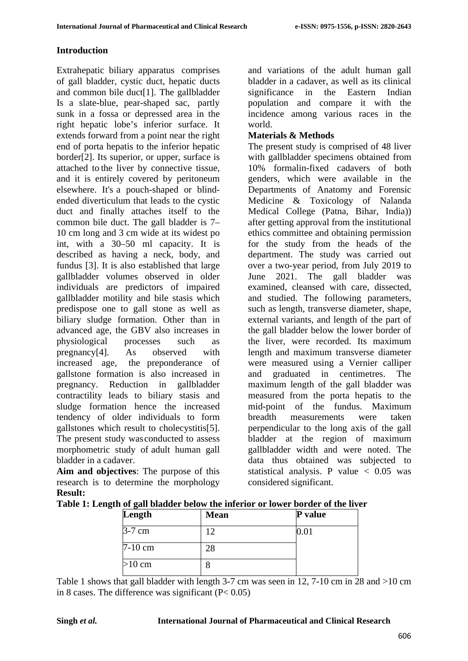#### **Introduction**

Extrahepatic biliary apparatus comprises of gall bladder, cystic duct, hepatic ducts and common bile duct[1]. The gallbladder Is a slate-blue, pear-shaped sac, partly sunk in a fossa or depressed area in the right hepatic lobe's inferior surface. It extends forward from a point near the right end of porta hepatis to the inferior hepatic border[2]. Its superior, or upper, surface is attached to the liver by connective tissue, and it is entirely covered by peritoneum elsewhere. It's a pouch-shaped or blindended diverticulum that leads to the cystic duct and finally attaches itself to the common bile duct. The gall bladder is 7– 10 cm long and 3 cm wide at its widest po int, with a 30–50 ml capacity. It is described as having a neck, body, and fundus [3]. It is also established that large gallbladder volumes observed in older individuals are predictors of impaired gallbladder motility and bile stasis which predispose one to gall stone as well as biliary sludge formation. Other than in advanced age, the GBV also increases in physiological processes such as pregnancy[4]. As observed with increased age, the preponderance of gallstone formation is also increased in pregnancy. Reduction in gallbladder contractility leads to biliary stasis and sludge formation hence the increased tendency of older individuals to form gallstones which result to cholecystitis[5]. The present study wasconducted to assess morphometric study of adult human gall bladder in a cadaver.

**Aim and objectives**: The purpose of this research is to determine the morphology **Result:**

and variations of the adult human gall bladder in a cadaver, as well as its clinical significance in the Eastern Indian population and compare it with the incidence among various races in the world.

### **Materials & Methods**

The present study is comprised of 48 liver with gallbladder specimens obtained from 10% formalin-fixed cadavers of both genders, which were available in the Departments of Anatomy and Forensic Medicine & Toxicology of Nalanda Medical College (Patna, Bihar, India)) after getting approval from the institutional ethics committee and obtaining permission for the study from the heads of the department. The study was carried out over a two-year period, from July 2019 to June 2021. The gall bladder was examined, cleansed with care, dissected, and studied. The following parameters, such as length, transverse diameter, shape, external variants, and length of the part of the gall bladder below the lower border of the liver, were recorded. Its maximum length and maximum transverse diameter were measured using a Vernier calliper and graduated in centimetres. The maximum length of the gall bladder was measured from the porta hepatis to the mid-point of the fundus. Maximum breadth measurements were taken perpendicular to the long axis of the gall bladder at the region of maximum gallbladder width and were noted. The data thus obtained was subjected to statistical analysis. P value < 0.05 was considered significant.

|  |  | Table 1: Length of gall bladder below the inferior or lower border of the liver |  |  |
|--|--|---------------------------------------------------------------------------------|--|--|
|  |  |                                                                                 |  |  |

| Length    | <b>Mean</b> | P value |
|-----------|-------------|---------|
| $3-7$ cm  | 12          | 0.01    |
| $7-10$ cm | 28          |         |
| $>10$ cm  | Ω           |         |

Table 1 shows that gall bladder with length 3-7 cm was seen in 12, 7-10 cm in 28 and  $>10$  cm in 8 cases. The difference was significant  $(P< 0.05)$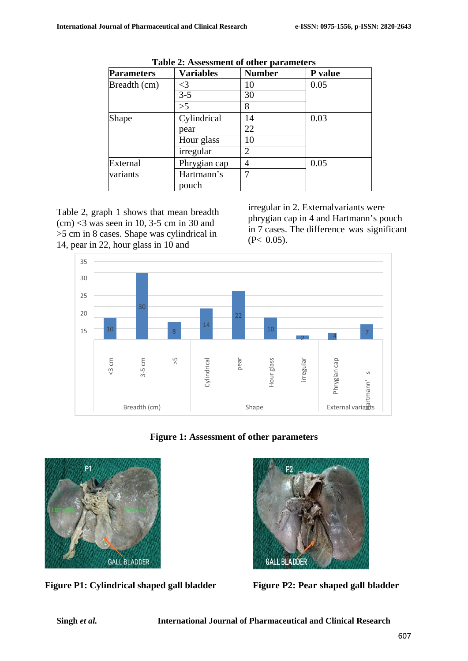| <b>Parameters</b> | <b>Variables</b> | <b>Number</b>  | P value |
|-------------------|------------------|----------------|---------|
| Breadth (cm)      | $<$ 3            | 10             | 0.05    |
|                   | $3 - 5$          | 30             |         |
|                   | >5               | 8              |         |
| Shape             | Cylindrical      | 14             | 0.03    |
|                   | pear             | 22             |         |
|                   | Hour glass       | 10             |         |
|                   | irregular        | $\overline{2}$ |         |
| External          | Phrygian cap     | 4              | 0.05    |
| variants          | Hartmann's       |                |         |
|                   | pouch            |                |         |

Table 2, graph 1 shows that mean breadth  $(cm) < 3$  was seen in 10, 3-5 cm in 30 and >5 cm in 8 cases. Shape was cylindrical in 14, pear in 22, hour glass in 10 and

irregular in 2. Externalvariants were phrygian cap in 4 and Hartmann's pouch in 7 cases. The difference was significant (P< 0.05).



**Figure 1: Assessment of other parameters**



**Figure P1: Cylindrical shaped gall bladder Figure P2: Pear shaped gall bladder**

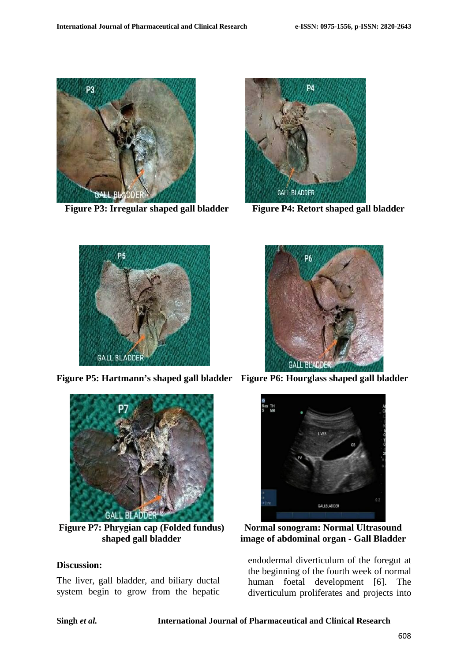

**Figure P3: Irregular shaped gall bladder Figure P4: Retort shaped gall bladder**





**Figure P5: Hartmann's shaped gall bladder Figure P6: Hourglass shaped gall bladder**



**Figure P7: Phrygian cap (Folded fundus) shaped gall bladder**

#### **Discussion:**

The liver, gall bladder, and biliary ductal system begin to grow from the hepatic





**Normal sonogram: Normal Ultrasound image of abdominal organ - Gall Bladder**

endodermal diverticulum of the foregut at the beginning of the fourth week of normal human foetal development [6]. The diverticulum proliferates and projects into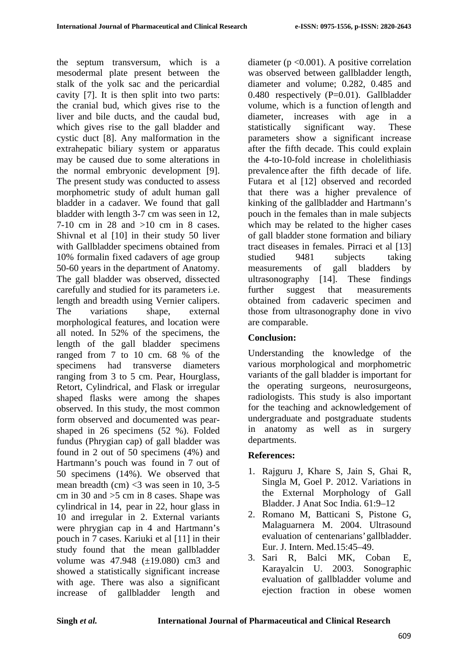the septum transversum, which is a mesodermal plate present between the stalk of the yolk sac and the pericardial cavity [7]. It is then split into two parts: the cranial bud, which gives rise to the liver and bile ducts, and the caudal bud, which gives rise to the gall bladder and cystic duct [8]. Any malformation in the extrahepatic biliary system or apparatus may be caused due to some alterations in the normal embryonic development [9]. The present study was conducted to assess morphometric study of adult human gall bladder in a cadaver. We found that gall bladder with length 3-7 cm was seen in 12, 7-10 cm in 28 and >10 cm in 8 cases. Shivnal et al [10] in their study 50 liver with Gallbladder specimens obtained from 10% formalin fixed cadavers of age group 50-60 years in the department of Anatomy. The gall bladder was observed, dissected carefully and studied for its parameters i.e. length and breadth using Vernier calipers. The variations shape, external morphological features, and location were all noted. In 52% of the specimens, the length of the gall bladder specimens ranged from 7 to 10 cm. 68 % of the specimens had transverse diameters ranging from 3 to 5 cm. Pear, Hourglass, Retort, Cylindrical, and Flask or irregular shaped flasks were among the shapes observed. In this study, the most common form observed and documented was pearshaped in 26 specimens (52 %). Folded fundus (Phrygian cap) of gall bladder was found in 2 out of 50 specimens (4%) and Hartmann's pouch was found in 7 out of 50 specimens (14%). We observed that mean breadth (cm) <3 was seen in 10, 3-5 cm in 30 and >5 cm in 8 cases. Shape was cylindrical in 14, pear in 22, hour glass in 10 and irregular in 2. External variants were phrygian cap in 4 and Hartmann's pouch in 7 cases. Kariuki et al [11] in their study found that the mean gallbladder volume was 47.948 (±19.080) cm3 and showed a statistically significant increase with age. There was also a significant increase of gallbladder length and

diameter ( $p \le 0.001$ ). A positive correlation was observed between gallbladder length, diameter and volume; 0.282, 0.485 and 0.480 respectively (P=0.01). Gallbladder volume, which is a function oflength and diameter, increases with age in a statistically significant way. These parameters show a significant increase after the fifth decade. This could explain the 4-to-10-fold increase in cholelithiasis prevalence after the fifth decade of life. Futara et al [12] observed and recorded that there was a higher prevalence of kinking of the gallbladder and Hartmann's pouch in the females than in male subjects which may be related to the higher cases of gall bladder stone formation and biliary tract diseases in females. Pirraci et al [13] studied 9481 subjects taking measurements of gall bladders by ultrasonography [14]. These findings further suggest that measurements obtained from cadaveric specimen and those from ultrasonography done in vivo are comparable.

# **Conclusion:**

Understanding the knowledge of the various morphological and morphometric variants of the gall bladder is important for the operating surgeons, neurosurgeons, radiologists. This study is also important for the teaching and acknowledgement of undergraduate and postgraduate students in anatomy as well as in surgery departments.

# **References:**

- 1. Rajguru J, Khare S, Jain S, Ghai R, Singla M, Goel P. 2012. Variations in the External Morphology of Gall Bladder. J Anat Soc India. 61:9–12
- 2. Romano M, Batticani S, Pistone G, Malaguarnera M. 2004. Ultrasound evaluation of centenarians'gallbladder. Eur. J. Intern. Med.15:45–49.
- 3. Sari R, Balci MK, Coban E, Karayalcin U. 2003. Sonographic evaluation of gallbladder volume and ejection fraction in obese women